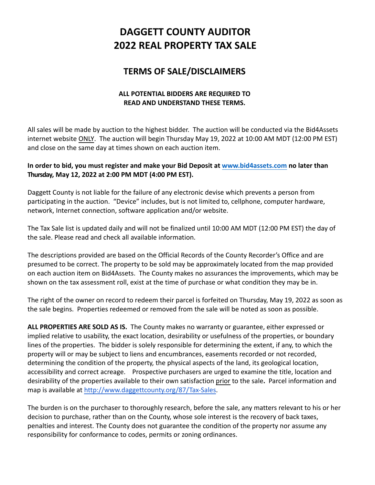# **DAGGETT COUNTY AUDITOR 2022 REAL PROPERTY TAX SALE**

## **TERMS OF SALE/DISCLAIMERS**

### **ALL POTENTIAL BIDDERS ARE REQUIRED TO READ AND UNDERSTAND THESE TERMS.**

All sales will be made by auction to the highest bidder. The auction will be conducted via the Bid4Assets internet website ONLY. The auction will begin Thursday May 19, 2022 at 10:00 AM MDT (12:00 PM EST) and close on the same day at times shown on each auction item.

#### **In order to bid, you must register and make your Bid Deposit at [www.bid4assets.com](http://www.bid4assets.com) no later than Thursday, May 12, 2022 at 2:00 PM MDT (4:00 PM EST).**

Daggett County is not liable for the failure of any electronic devise which prevents a person from participating in the auction. "Device" includes, but is not limited to, cellphone, computer hardware, network, Internet connection, software application and/or website.

The Tax Sale list is updated daily and will not be finalized until 10:00 AM MDT (12:00 PM EST) the day of the sale. Please read and check all available information.

The descriptions provided are based on the Official Records of the County Recorder's Office and are presumed to be correct. The property to be sold may be approximately located from the map provided on each auction item on Bid4Assets. The County makes no assurances the improvements, which may be shown on the tax assessment roll, exist at the time of purchase or what condition they may be in.

The right of the owner on record to redeem their parcel is forfeited on Thursday, May 19, 2022 as soon as the sale begins. Properties redeemed or removed from the sale will be noted as soon as possible.

**ALL PROPERTIES ARE SOLD AS IS.** The County makes no warranty or guarantee, either expressed or implied relative to usability, the exact location, desirability or usefulness of the properties, or boundary lines of the properties. The bidder is solely responsible for determining the extent, if any, to which the property will or may be subject to liens and encumbrances, easements recorded or not recorded, determining the condition of the property, the physical aspects of the land, its geological location, accessibility and correct acreage. Prospective purchasers are urged to examine the title, location and desirability of the properties available to their own satisfaction prior to the sale**.** Parcel information and map is available at [http://www.daggettcounty.org/87/Tax-Sales.](http://www.daggettcounty.org/87/Tax-Sales)

The burden is on the purchaser to thoroughly research, before the sale, any matters relevant to his or her decision to purchase, rather than on the County, whose sole interest is the recovery of back taxes, penalties and interest. The County does not guarantee the condition of the property nor assume any responsibility for conformance to codes, permits or zoning ordinances.